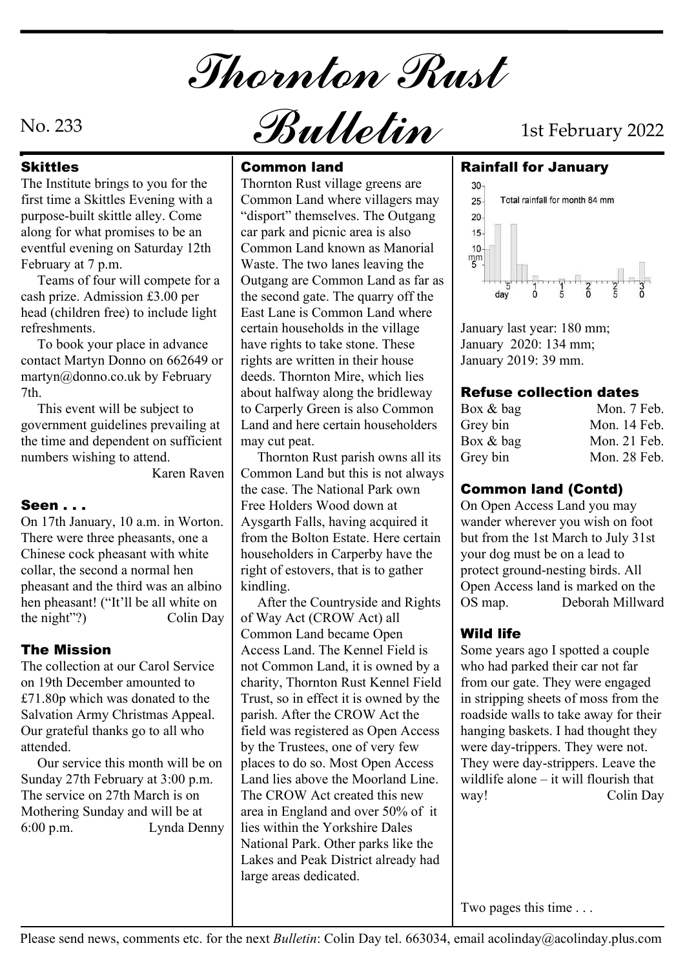Thornton Rust

The Institute brings to you for the first time a Skittles Evening with a purpose-built skittle alley. Come along for what promises to be an eventful evening on Saturday 12th February at 7 p.m.

 Teams of four will compete for a cash prize. Admission £3.00 per head (children free) to include light refreshments.

 To book your place in advance contact Martyn Donno on 662649 or martyn@donno.co.uk by February 7th.

 This event will be subject to government guidelines prevailing at the time and dependent on sufficient numbers wishing to attend.

## Seen . . .

On 17th January, 10 a.m. in Worton. There were three pheasants, one a Chinese cock pheasant with white collar, the second a normal hen pheasant and the third was an albino hen pheasant! ("It'll be all white on

The collection at our Carol Service on 19th December amounted to £71.80p which was donated to the Salvation Army Christmas Appeal. Our grateful thanks go to all who attended.

 Our service this month will be on Sunday 27th February at 3:00 p.m. The service on 27th March is on Mothering Sunday and will be at

## Skittles **Common land**

Thornton Rust village greens are  $\begin{array}{|c|} \hline \end{array}$ Common Land where villagers  $\frac{1}{25}$  Total rainfall for month 84 mm "disport" themselves. The Outgang car park and picnic area is also Common Land known as Manorial  $\begin{bmatrix} 10 \\ mm \\ mm \\ 5 \end{bmatrix}$ Waste. The two lanes leaving the Outgang are Common Land as far as the second gate. The quarry off the East Lane is Common Land where certain households in the village have rights to take stone. These rights are written in their house deeds. Thornton Mire, which lies about halfway along the bridleway to Carperly Green is also Common Land and here certain householders may cut peat.

 Karen Raven Common Land but this is not always Thornton Rust parish owns all its the case. The National Park own Free Holders Wood down at Aysgarth Falls, having acquired it from the Bolton Estate. Here certain householders in Carperby have the right of estovers, that is to gather kindling.

the night"?)  $\qquad \qquad \text{Colin Day} \mid \text{of Way Act (CROW Act) all}$ **The Mission Access Land.** The Kennel Field is Some years 6:00 p.m. Lynda Denny lies within the Yorkshire Dales After the Countryside and Rights | OS map. Common Land became Open not Common Land, it is owned by a charity, Thornton Rust Kennel Field Trust, so in effect it is owned by the parish. After the CROW Act the field was registered as Open Access by the Trustees, one of very few places to do so. Most Open Access Land lies above the Moorland Line. The CROW Act created this new way! area in England and over 50% of it National Park. Other parks like the Lakes and Peak District already had large areas dedicated.

# No. 233  $\mathcal{B}$ ulletin 1st February 2022

#### Common land Rainfall for January



January last year: 180 mm; January 2020: 134 mm; January 2019: 39 mm.

## Refuse collection dates

| Box & bag   | Mon. 7 Feb.    |
|-------------|----------------|
| Grey bin    | Mon. 14 Feb.   |
| Box $&$ bag | Mon. $21$ Feb. |
| Grey bin    | Mon. 28 Feb.   |

## Common land (Contd)

On Open Access Land you may wander wherever you wish on foot but from the 1st March to July 31st your dog must be on a lead to protect ground-nesting birds. All Open Access land is marked on the Deborah Millward

## Wild life

Some years ago I spotted a couple who had parked their car not far from our gate. They were engaged in stripping sheets of moss from the roadside walls to take away for their hanging baskets. I had thought they were day-trippers. They were not. They were day-strippers. Leave the wildlife alone – it will flourish that Colin Day

Two pages this time . . .